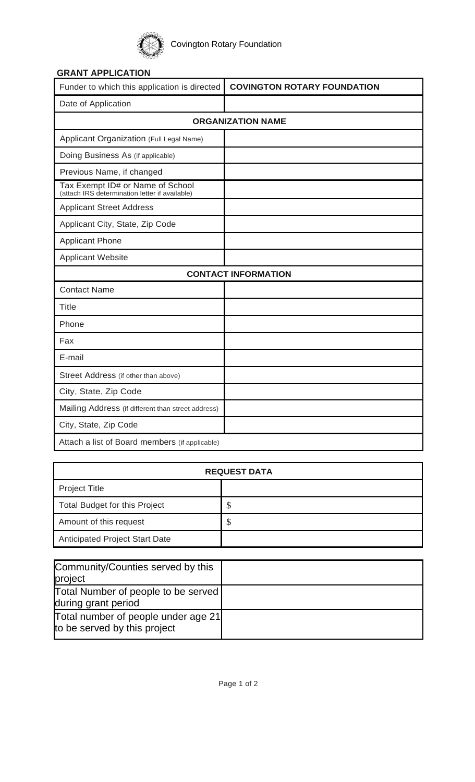

## **GRANT APPLICATION**

| Funder to which this application is directed                                       | <b>COVINGTON ROTARY FOUNDATION</b> |  |
|------------------------------------------------------------------------------------|------------------------------------|--|
| Date of Application                                                                |                                    |  |
| <b>ORGANIZATION NAME</b>                                                           |                                    |  |
| Applicant Organization (Full Legal Name)                                           |                                    |  |
| Doing Business As (if applicable)                                                  |                                    |  |
| Previous Name, if changed                                                          |                                    |  |
| Tax Exempt ID# or Name of School<br>(attach IRS determination letter if available) |                                    |  |
| <b>Applicant Street Address</b>                                                    |                                    |  |
| Applicant City, State, Zip Code                                                    |                                    |  |
| <b>Applicant Phone</b>                                                             |                                    |  |
| <b>Applicant Website</b>                                                           |                                    |  |
| <b>CONTACT INFORMATION</b>                                                         |                                    |  |
| <b>Contact Name</b>                                                                |                                    |  |
| <b>Title</b>                                                                       |                                    |  |
| Phone                                                                              |                                    |  |
| Fax                                                                                |                                    |  |
| E-mail                                                                             |                                    |  |
| Street Address (if other than above)                                               |                                    |  |
| City, State, Zip Code                                                              |                                    |  |
| Mailing Address (if different than street address)                                 |                                    |  |
| City, State, Zip Code                                                              |                                    |  |
| Attach a list of Board members (if applicable)                                     |                                    |  |

| <b>REQUEST DATA</b>                   |    |  |
|---------------------------------------|----|--|
| <b>Project Title</b>                  |    |  |
| <b>Total Budget for this Project</b>  | D  |  |
| Amount of this request                | \$ |  |
| <b>Anticipated Project Start Date</b> |    |  |

| Community/Counties served by this<br>project                        |  |
|---------------------------------------------------------------------|--|
| Total Number of people to be served<br>during grant period          |  |
| Total number of people under age 21<br>to be served by this project |  |